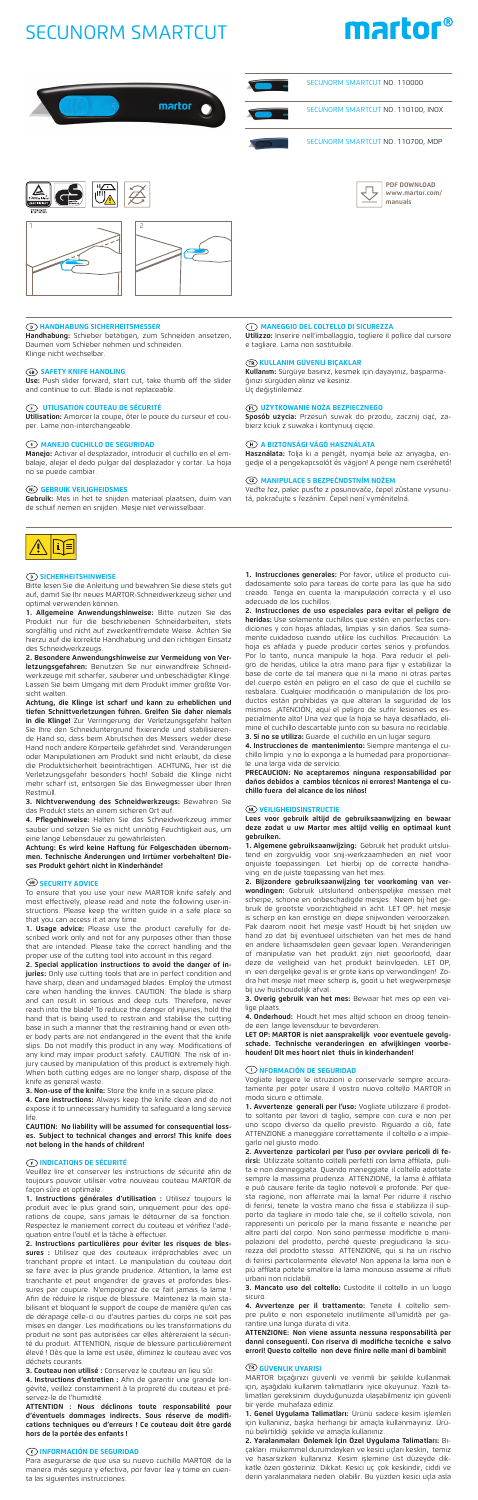# **HANDHABUNG SICHERHEITSMESSER**

**Handhabung:** Schieber betätigen, zum Schneiden ansetzen, Daumen vom Schieber nehmen und schneiden. Klinge nicht wechselbar.

## **68 SAFETY KNIFE HANDLING**

**Use:** Push slider forward, start cut, take thumb off the slider and continue to cut. Blade is not replaceable.

# **UTILISATION COUTEAU DE SÉCURITÉ**

**Utilisation:** Amorcer la coupe, ôter le pouce du curseur et couper. Lame non-interchangeable.

# **E** MANEJO CUCHILLO DE SEGURIDAD

**Manejo:** Activar el desplazador, introducir el cuchillo en el em-balaje, alejar el dedo pulgar del desplazador y cortar. La hoja no se puede cambiar.

 **GEBRUIK VEILIGHEIDSMES Gebruik:** Mes in het te snijden materiaal plaatsen, duim van de schuif nemen en snijden. Mesje niet verwisselbaar.



# SECUNORM SMARTCUT







# **SICHERHEITSHINWEISE**

Bitte lesen Sie die Anleitung und bewahren Sie diese stets gut auf, damit Sie Ihr neues MARTOR-Schneidwerkzeug sicher und optimal verwenden können.

**1. Allgemeine Anwendungshinweise:** Bitte nutzen Sie das Produkt nur für die beschriebenen Schneidarbeiten, stets sorgfältig und nicht auf zweckentfremdete Weise. Achten Sie hierzu auf die korrekte Handhabung und den richtigen Einsatz des Schneidwerkzeugs.

**2. Besondere Anwendungshinweise zur Vermeidung von Verletzungsgefahren:** Benutzen Sie nur einwandfreie Schneid-<br>werkzeuge mit scharfer, sauberer und unbeschädigter Klinge. Lassen Sie beim Umgang mit dem Produkt immer größte Vorsicht walten.

**Achtung, die Klinge ist scharf und kann zu erheblichen und tiefen Schnittverletzungen führen. Greifen Sie daher niemals in die Klinge!** Zur Verringerung der Verletzungsgefahr halten<br>Sie Ihre den Schneiduntergrund fixierende und stabilisierende Hand so, dass beim Abrutschen des Messers weder diese Hand noch andere Körperteile gefährdet sind. Veränderungen oder Manipulationen am Produkt sind nicht erlaubt, da diese die Produktsicherheit beeinträchtigen. ACHTUNG, hier ist die Verletzungsgefahr besonders hoch! Sobald die Klinge nicht mehr scharf ist, entsorgen Sie das Einwegmesser über Ihren Restmüll.

**3. Nichtverwendung des Schneidwerkzeugs:** Bewahren Sie das Produkt stets an einem sicheren Ort auf. **4. Pflegehinweise:** Halten Sie das Schneidwerkzeug immer

sauber und setzen Sie es nicht unnötig Feuchtigkeit aus, um eine lange Lebensdauer zu gewährleisten.

**Achtung: Es wird keine Haftung für Folgeschäden übernom-men. Technische Änderungen und Irrtümer vorbehalten! Dieses Produkt gehört nicht in Kinderhände!**

## *<b>B* SECURITY ADVICE

To ensure that you use your new MARTOR knife safely and most effectively, please read and note the following us structions. Please keep the written guide in a safe place so that you can access it at any time. **1. Usage advice:** Please use the product carefully for de-

scribed work only and not for any purposes other than those that are intended. Please take the correct handling and the proper use of the cutting tool into account in this regard.

**2. Special application instructions to avoid the danger of injuries:** Only use cutting tools that are in perfect condition and have sharp, clean and undamaged blades. Employ the utmost care when handling the knives. CAUTION: The blade is sharp and can result in serious and deep cuts. Therefore, never reach into the blade! To reduce the danger of injuries, hold the hand that is being used to restrain and stabilise the cutting base in such a manner that the restraining hand or even oth-er body parts are not endangered in the event that the knife slips. Do not modify this product in any way. Modifications of any kind may impair product safety. CAUTION: The risk of injury caused by manipulation of this product is extremely high. When both cutting edges are no longer sharp, dispose of the

knife as general waste. **3. Non-use of the knife:** Store the knife in a secure place.

**4. Care instructions:** Always keep the knife clean and do not expose it to unnecessary humidity to safeguard a long service life.

**CAUTION: No liability will be assumed for consequential losses. Subject to technical changes and errors! This knife does not belong in the hands of children!** 

# **INDICATIONS DE SÉCURITÉ**

Veuillez lire et conserver les instructions de sécurité afin de toujours pouvoir utiliser votre nouveau couteau MARTOR de façon sûre et optimale.

**3. Overig gebruik van het mes:** Bewaar het mes op een veilige plaats

**1. Instructions générales d'utilisation :** Utilisez toujours le produit avec le plus grand soin, uniquement pour des opé-rations de coupe, sans jamais le détourner de sa fonction. Respectez le maniement correct du couteau et vérifiez l'adéquation entre l'outil et la tâche à effectuer.

**2. Instructions particulières pour éviter les risques de blessures :** Utilisez que des couteaux irréprochables avec un tranchant propre et intact. Le manipulation du couteau doit se faire avec la plus grande prudence. Attention, la lame est tranchante et peut engendrer de graves et profondes bles-sures par coupure. N'empoignez de ce fait jamais la lame ! Afin de réduire le risque de blessure. Maintenez la main stabilisant et bloquant le support de coupe de manière qu'en cas de dérapage celle-ci ou d'autres parties du corps ne soit pas mises en danger. Les modifications ou les transformations du produit ne sont pas autorisées car elles altèreraient la sécurité du produit. ATTENTION, risque de blessure particulièrement élevé ! Dès que la lame est usée, éliminez le couteau avec vos déchets courants.

**3. Couteau non utilisé :** Conservez le couteau en lieu sûr.

**4. Instructions d'entretien :** Afin de garantir une grande longévité, veillez constamment à la propreté du couteau et préservez-le de l'humidité.

**ATTENTION : Nous déclinons toute responsabilité pour d'éventuels dommages indirects. Sous réserve de modifications techniques ou d'erreurs ! Ce couteau doit être gardé hors de la portée des enfants !** 

# **INFORMACIÓN DE SEGURIDAD**

Para asegurarse de que usa su nuevo cuchillo MARTOR de la manera más segura y efectiva, por favor lea y tome en cuenta las siguientes instrucciones.

**1. Instrucciones generales:** Por favor, utilice el producto cuidadosamente solo para tareas de corte para las que ha sido creado. Tenga en cuenta la manipulación correcta y el uso adecuado de los cuchillos.

**2. Instrucciones de uso especiales para evitar el peligro de heridas:** Use solamente cuchillos que estén en perfectas condiciones y con hojas afiladas, limpias y sin daños. Sea sumamente cuidadoso cuando utilice los cuchillos. Precaución: La hoja es afilada y puede producir cortes serios y profundos. Por lo tanto, nunca manipule la hoja. Para reducir el peligro de heridas, utilice la otra mano para fijar y estabilizar la base de corte de tal manera que ni la mano ni otras partes del cuerpo estén en peligro en el caso de que el cuchillo se resbalara. Cualquier modificación o manipulación de los pro-<br>ductos están prohibidas ya que alteran la seguridad de los<br>mismos. ¡ATENCIÓN, aquí el peligro de sufrir lesiones es es-<br>pecialmente alto! Una vez que la hoja se mine el cuchillo descartable junto con su basura no reciclable. **3. Si no se utiliza:** Guarde el cuchillo en un lugar seguro.

**4. Instrucciones de mantenimiento:** Siempre mantenga el cu-chillo limpio y no lo exponga a la humedad para proporcionarle una larga vida de servicio.

**PRECAUCION: No aceptaremos ninguna responsabilidad por daños debidos a cambios técnicos ni errores! Mantenga el cuchillo fuera del alcance de los niños!** 

#### **VEILIGHEIDSINSTRUCTIE**

**Lees voor gebruik altijd de gebruiksaanwijzing en bewaar deze zodat u uw Martor mes altijd veilig en optimaal kunt gebruiken.**

**1. Algemene gebruiksaanwijzing:** Gebruik het produkt uitsluitend en zorgvuldig voor snij-werkzaamheden en niet voor onjuiste toepassingen. Let hierbij op de correcte handhaving en de juiste toepassing van het mes.

**2. Bijzondere gebruiksaanwijzing ter voorkoming van verwondingen:** Gebruik uitsluitend onberispelijke messen met scherpe, schone en onbeschadigde mesjes. Neem bij het gebruik de grootste voorzichtigheid in acht. LET OP: het mesje is scherp en kan ernstige en diepe snijwonden veroorzaken. Pak daarom nooit het mesje vast! Houdt bij het snijden uw hand zo dat bij eventueel uitschieten van het mes de hand en andere lichaamsdelen geen gevaar lopen. Veranderingen of manipulatie van het produkt zijn niet geoorloofd, daar deze de veiligheid van het produkt beinvloeden. LET OP, in een dergelijke geval is er grote kans op verwondingen! Zodra het mesje niet meer scherp is, gooit u het wegwerpmesje bij uw huishoudelijk afval.

**4. Onderhoud:** Houdt het mes altijd schoon en droog teneinde een lange levensduur te bevorderen.

**LET OP: MARTOR is niet aansprakelijk voor eventuele gevolg-schade. Technische veranderingen en afwijkingen voorbehouden! Dit mes hoort niet thuis in kinderhanden!** 

# **NFORMACIÓN DE SEGURIDAD**

liate leggere le istruzioni e conservarle sempre accura-

tamente per poter usare il vostro nuovo coltello MARTOR in modo sicuro e ottimale.

**1. Avvertenze generali per l'uso:** Vogliate utilizzare il prodot-to soltanto per lavori di taglio, sempre con cura e non per uno scopo diverso da quello previsto. Riguardo a ciò, fate ATTENZIONE a maneggiare correttamente il coltello e a impiegarlo nel giusto modo.

**2. Avvertenze particolari per l'uso per ovviare pericoli di ferirsi:** Utilizzate soltanto coltelli perfetti con lama affilata, pulita e non danneggiata. Quando maneggiate il coltello adottate sempre la massima prudenza. ATTENZIONE, la lama è affilata<br>e può causare ferite da taglio notevoli e profonde. Per que-<br>sta ragione, non afferrate mai la lama! Per ridurre il rischio<br>di ferirsi, tenete la vostra mano che f porto da tagliare in modo tale che, se il coltello scivola, non rappresenti un pericolo per la mano fissante e neanche per altre parti del corpo. Non sono permesse modifiche o manipolazioni del prodotto, perché queste pregiudicano la sicurezza del prodotto stesso. ATTENZIONE, qui si ha un rischio di ferirsi particolarmente elevato! Non appena la lama non è più affilata potete smaltire la lama monouso assieme ai rifiuti urbani non riciclabili.

**3. Mancato uso del coltello:** Custodite il coltello in un luogo sicuro.

**4. Avvertenze per il trattamento:** Tenete il coltello sempre pulito e non esponetelo inutilmente all'umidità per garantire una lunga durata di vita.

**ATTENZIONE: Non viene assunta nessuna responsabilità per danni conseguenti. Con riserva di modifiche tecniche e salvo errori! Questo coltello non deve finire nelle mani di bambini!**

# **GÜVENLIK UYARISI**

MARTOR bıçağınızı güvenli ve verimli bir şekilde kullanmak için, aşağıdaki kullanım talimatlarını iyice okuyunuz. Yazılı talimatları gereksinim duyduğunuzda ulaşabilmeniz için güvenli bir yerde muhafaza ediniz.

**1. Genel Uygulama Talimatları:** Ürünü sadece kesim işlemleri için kullanınız, başka herhangi bir amaçla kullanmayınız. Ürü-

nü belirtildiği şekilde ve amaçla kullanınız. **2. Yaralanmaları Önlemek İçin Özel Uygulama Talimatları:** Bıçakları mükemmel durumdayken ve kesici uçları keskin, temiz ve hasarsızken kullanınız. Kesim işlemine üst düzeyde dikkatle özen gösteriniz. Dikkat: Kesici uç çok keskindir, ciddi ve derin yaralanmalara neden olabilir. Bu yüzden kesici uçla asla

**PDF DOWNLOAD www.martor.com/ manuals**

SECUNORM SMARTCUT NO. 110000

SECUNORM SMARTCUT NO. 110100, INOX

SECUNORM SMARTCUT NO. 110700, MDP

**MANEGGIO DEL COLTELLO DI SICUREZZA Utilizzo:** Inserire nell'imballaggio, togliere il pollice dal cursore

e tagliare. Lama non sostituibile.

# **KULLANIM GÜVENLI BIÇAKLAR**

**Kullanım:** Sürgüye basınız, kesmek için dayayınız, başparmağınızı sürgüden alınız ve kesiniz. Uç değiştirilemez.

**UŻYTKOWANIE NOŻA BEZPIECZNEGO Sposób użycia:** Przesuń suwak do przodu, zacznij ciąć, zabierz kciuk z suwaka i kontynuuj cięcie.

## **A BIZTONSÁGI VÁGÓ HASZNÁLATA**

**Használata:** Tolja ki a pengét, nyomja bele az anyagba, en-<br>gedje el a pengekapcsolót és vágjon! A penge nem cseréhető!

# **MANIPULACE S BEZPEČNOSTNÍM NOŽEM**

Veďte řez, palec pusťte z posunovače, čepel zůstane vysunu-tá, pokračujte s řezáním. Čepel není vyměnitelná.